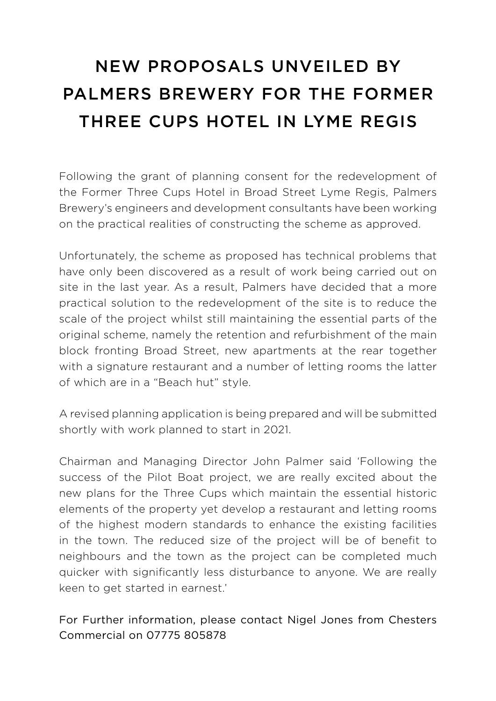## NEW PROPOSALS UNVEILED BY PALMERS BREWERY FOR THE FORMER THREE CUPS HOTEL IN LYME REGIS

Following the grant of planning consent for the redevelopment of the Former Three Cups Hotel in Broad Street Lyme Regis, Palmers Brewery's engineers and development consultants have been working on the practical realities of constructing the scheme as approved.

Unfortunately, the scheme as proposed has technical problems that have only been discovered as a result of work being carried out on site in the last year. As a result, Palmers have decided that a more practical solution to the redevelopment of the site is to reduce the scale of the project whilst still maintaining the essential parts of the original scheme, namely the retention and refurbishment of the main block fronting Broad Street, new apartments at the rear together with a signature restaurant and a number of letting rooms the latter of which are in a "Beach hut" style.

A revised planning application is being prepared and will be submitted shortly with work planned to start in 2021.

Chairman and Managing Director John Palmer said 'Following the success of the Pilot Boat project, we are really excited about the new plans for the Three Cups which maintain the essential historic elements of the property yet develop a restaurant and letting rooms of the highest modern standards to enhance the existing facilities in the town. The reduced size of the project will be of benefit to neighbours and the town as the project can be completed much quicker with significantly less disturbance to anyone. We are really keen to get started in earnest.'

## For Further information, please contact Nigel Jones from Chesters Commercial on 07775 805878